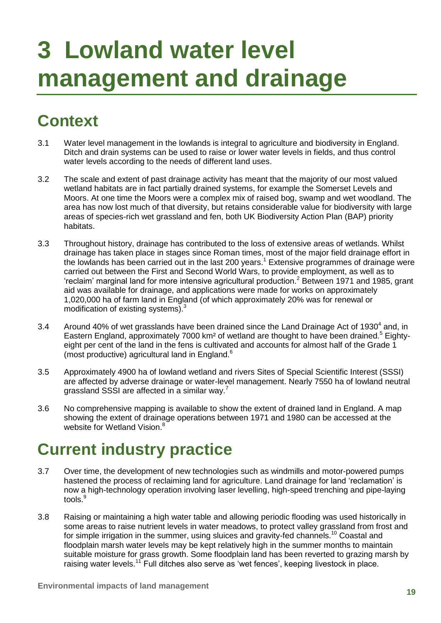# **3 Lowland water level management and drainage**

## **Context**

- 3.1 Water level management in the lowlands is integral to agriculture and biodiversity in England. Ditch and drain systems can be used to raise or lower water levels in fields, and thus control water levels according to the needs of different land uses.
- 3.2 The scale and extent of past drainage activity has meant that the majority of our most valued wetland habitats are in fact partially drained systems, for example the Somerset Levels and Moors. At one time the Moors were a complex mix of raised bog, swamp and wet woodland. The area has now lost much of that diversity, but retains considerable value for biodiversity with large areas of species-rich wet grassland and fen, both UK Biodiversity Action Plan (BAP) priority habitats.
- 3.3 Throughout history, drainage has contributed to the loss of extensive areas of wetlands. Whilst drainage has taken place in stages since Roman times, most of the major field drainage effort in the lowlands has been carried out in the last 200 years. <sup>1</sup> Extensive programmes of drainage were carried out between the First and Second World Wars, to provide employment, as well as to 'reclaim' marginal land for more intensive agricultural production.<sup>2</sup> Between 1971 and 1985, grant aid was available for drainage, and applications were made for works on approximately 1,020,000 ha of farm land in England (of which approximately 20% was for renewal or modification of existing systems).<sup>3</sup>
- 3.4 Around 40% of wet grasslands have been drained since the Land Drainage Act of 1930<sup>4</sup> and, in Eastern England, approximately 7000 km<sup>2</sup> of wetland are thought to have been drained.<sup>5</sup> Eightyeight per cent of the land in the fens is cultivated and accounts for almost half of the Grade 1 (most productive) agricultural land in England.<sup>6</sup>
- 3.5 Approximately 4900 ha of lowland wetland and rivers Sites of Special Scientific Interest (SSSI) are affected by adverse drainage or water-level management. Nearly 7550 ha of lowland neutral grassland SSSI are affected in a similar way.<sup>7</sup>
- 3.6 No comprehensive mapping is available to show the extent of drained land in England. A map showing the extent of drainage operations between 1971 and 1980 can be accessed at the website for Wetland Vision.<sup>8</sup>

### **Current industry practice**

- 3.7 Over time, the development of new technologies such as windmills and motor-powered pumps hastened the process of reclaiming land for agriculture. Land drainage for land 'reclamation' is now a high-technology operation involving laser levelling, high-speed trenching and pipe-laying tools. $^9$
- 3.8 Raising or maintaining a high water table and allowing periodic flooding was used historically in some areas to raise nutrient levels in water meadows, to protect valley grassland from frost and for simple irrigation in the summer, using sluices and gravity-fed channels.<sup>10</sup> Coastal and floodplain marsh water levels may be kept relatively high in the summer months to maintain suitable moisture for grass growth. Some floodplain land has been reverted to grazing marsh by raising water levels.<sup>11</sup> Full ditches also serve as 'wet fences', keeping livestock in place.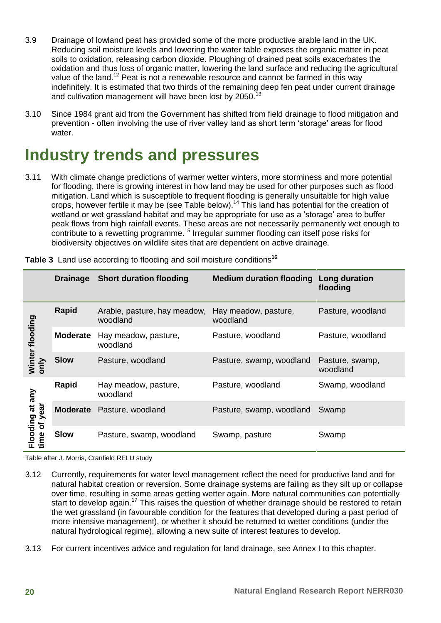- 3.9 Drainage of lowland peat has provided some of the more productive arable land in the UK. Reducing soil moisture levels and lowering the water table exposes the organic matter in peat soils to oxidation, releasing carbon dioxide. Ploughing of drained peat soils exacerbates the oxidation and thus loss of organic matter, lowering the land surface and reducing the agricultural value of the land.<sup>12</sup> Peat is not a renewable resource and cannot be farmed in this way indefinitely. It is estimated that two thirds of the remaining deep fen peat under current drainage and cultivation management will have been lost by 2050.
- 3.10 Since 1984 grant aid from the Government has shifted from field drainage to flood mitigation and prevention - often involving the use of river valley land as short term 'storage' areas for flood water.

### **Industry trends and pressures**

3.11 With climate change predictions of warmer wetter winters, more storminess and more potential for flooding, there is growing interest in how land may be used for other purposes such as flood mitigation. Land which is susceptible to frequent flooding is generally unsuitable for high value crops, however fertile it may be (see Table below).<sup>14</sup> This land has potential for the creation of wetland or wet grassland habitat and may be appropriate for use as a 'storage' area to buffer peak flows from high rainfall events. These areas are not necessarily permanently wet enough to contribute to a rewetting programme.<sup>15</sup> Irregular summer flooding can itself pose risks for biodiversity objectives on wildlife sites that are dependent on active drainage.

|                                 | <b>Drainage</b> | <b>Short duration flooding</b>           | <b>Medium duration flooding</b>  | Long duration<br>flooding   |
|---------------------------------|-----------------|------------------------------------------|----------------------------------|-----------------------------|
| Winter flooding<br>only         | Rapid           | Arable, pasture, hay meadow,<br>woodland | Hay meadow, pasture,<br>woodland | Pasture, woodland           |
|                                 | <b>Moderate</b> | Hay meadow, pasture,<br>woodland         | Pasture, woodland                | Pasture, woodland           |
|                                 | <b>Slow</b>     | Pasture, woodland                        | Pasture, swamp, woodland         | Pasture, swamp,<br>woodland |
| Flooding at any<br>time of year | Rapid           | Hay meadow, pasture,<br>woodland         | Pasture, woodland                | Swamp, woodland             |
|                                 | <b>Moderate</b> | Pasture, woodland                        | Pasture, swamp, woodland         | Swamp                       |
|                                 | <b>Slow</b>     | Pasture, swamp, woodland                 | Swamp, pasture                   | Swamp                       |

**Table 3** Land use according to flooding and soil moisture conditions**<sup>16</sup>**

Table after J. Morris, Cranfield RELU study

- 3.12 Currently, requirements for water level management reflect the need for productive land and for natural habitat creation or reversion. Some drainage systems are failing as they silt up or collapse over time, resulting in some areas getting wetter again. More natural communities can potentially start to develop again.<sup>17</sup> This raises the question of whether drainage should be restored to retain the wet grassland (in favourable condition for the features that developed during a past period of more intensive management), or whether it should be returned to wetter conditions (under the natural hydrological regime), allowing a new suite of interest features to develop.
- 3.13 For current incentives advice and regulation for land drainage, see Annex I to this chapter.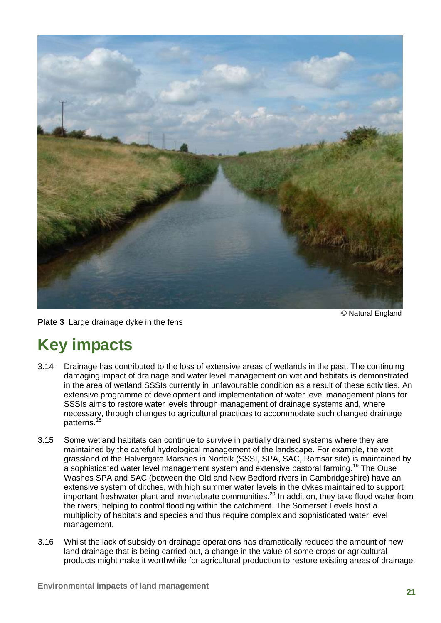

© Natural England

#### **Plate 3** Large drainage dyke in the fens

### **Key impacts**

- 3.14 Drainage has contributed to the loss of extensive areas of wetlands in the past. The continuing damaging impact of drainage and water level management on wetland habitats is demonstrated in the area of wetland SSSIs currently in unfavourable condition as a result of these activities. An extensive programme of development and implementation of water level management plans for SSSIs aims to restore water levels through management of drainage systems and, where necessary, through changes to agricultural practices to accommodate such changed drainage patterns.<sup>1</sup>
- 3.15 Some wetland habitats can continue to survive in partially drained systems where they are maintained by the careful hydrological management of the landscape. For example, the wet grassland of the Halvergate Marshes in Norfolk (SSSI, SPA, SAC, Ramsar site) is maintained by a sophisticated water level management system and extensive pastoral farming.<sup>19</sup> The Ouse Washes SPA and SAC (between the Old and New Bedford rivers in Cambridgeshire) have an extensive system of ditches, with high summer water levels in the dykes maintained to support important freshwater plant and invertebrate communities.<sup>20</sup> In addition, they take flood water from the rivers, helping to control flooding within the catchment. The Somerset Levels host a multiplicity of habitats and species and thus require complex and sophisticated water level management.
- 3.16 Whilst the lack of subsidy on drainage operations has dramatically reduced the amount of new land drainage that is being carried out, a change in the value of some crops or agricultural products might make it worthwhile for agricultural production to restore existing areas of drainage.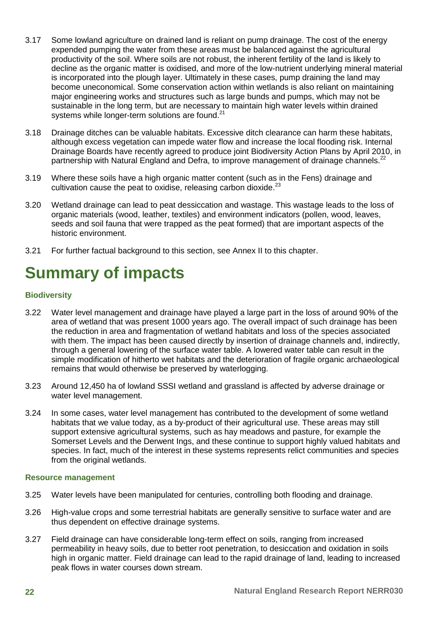- 3.17 Some lowland agriculture on drained land is reliant on pump drainage. The cost of the energy expended pumping the water from these areas must be balanced against the agricultural productivity of the soil. Where soils are not robust, the inherent fertility of the land is likely to decline as the organic matter is oxidised, and more of the low-nutrient underlying mineral material is incorporated into the plough layer. Ultimately in these cases, pump draining the land may become uneconomical. Some conservation action within wetlands is also reliant on maintaining major engineering works and structures such as large bunds and pumps, which may not be sustainable in the long term, but are necessary to maintain high water levels within drained systems while longer-term solutions are found.<sup>21</sup>
- 3.18 Drainage ditches can be valuable habitats. Excessive ditch clearance can harm these habitats, although excess vegetation can impede water flow and increase the local flooding risk. Internal Drainage Boards have recently agreed to produce joint Biodiversity Action Plans by April 2010, in partnership with Natural England and Defra, to improve management of drainage channels.<sup>22</sup>
- 3.19 Where these soils have a high organic matter content (such as in the Fens) drainage and cultivation cause the peat to oxidise, releasing carbon dioxide.<sup>23</sup>
- 3.20 Wetland drainage can lead to peat dessiccation and wastage. This wastage leads to the loss of organic materials (wood, leather, textiles) and environment indicators (pollen, wood, leaves, seeds and soil fauna that were trapped as the peat formed) that are important aspects of the historic environment.
- 3.21 For further factual background to this section, see Annex II to this chapter.

### **Summary of impacts**

#### **Biodiversity**

- 3.22 Water level management and drainage have played a large part in the loss of around 90% of the area of wetland that was present 1000 years ago. The overall impact of such drainage has been the reduction in area and fragmentation of wetland habitats and loss of the species associated with them. The impact has been caused directly by insertion of drainage channels and, indirectly, through a general lowering of the surface water table. A lowered water table can result in the simple modification of hitherto wet habitats and the deterioration of fragile organic archaeological remains that would otherwise be preserved by waterlogging.
- 3.23 Around 12,450 ha of lowland SSSI wetland and grassland is affected by adverse drainage or water level management.
- 3.24 In some cases, water level management has contributed to the development of some wetland habitats that we value today, as a by-product of their agricultural use. These areas may still support extensive agricultural systems, such as hay meadows and pasture, for example the Somerset Levels and the Derwent Ings, and these continue to support highly valued habitats and species. In fact, much of the interest in these systems represents relict communities and species from the original wetlands.

#### **Resource management**

- 3.25 Water levels have been manipulated for centuries, controlling both flooding and drainage.
- 3.26 High-value crops and some terrestrial habitats are generally sensitive to surface water and are thus dependent on effective drainage systems.
- 3.27 Field drainage can have considerable long-term effect on soils, ranging from increased permeability in heavy soils, due to better root penetration, to desiccation and oxidation in soils high in organic matter. Field drainage can lead to the rapid drainage of land, leading to increased peak flows in water courses down stream.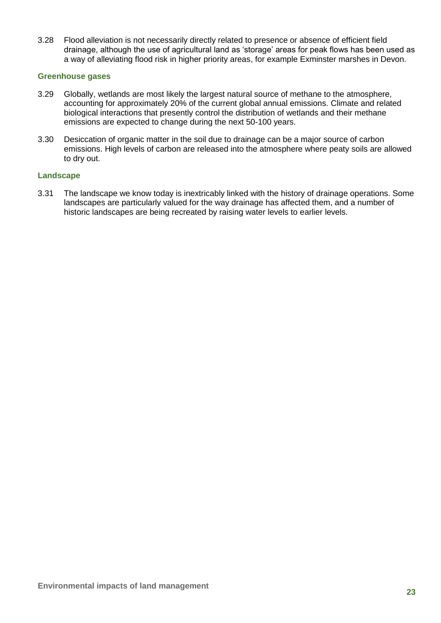3.28 Flood alleviation is not necessarily directly related to presence or absence of efficient field drainage, although the use of agricultural land as 'storage' areas for peak flows has been used as a way of alleviating flood risk in higher priority areas, for example Exminster marshes in Devon.

#### **Greenhouse gases**

- 3.29 Globally, wetlands are most likely the largest natural source of methane to the atmosphere, accounting for approximately 20% of the current global annual emissions. Climate and related biological interactions that presently control the distribution of wetlands and their methane emissions are expected to change during the next 50-100 years.
- 3.30 Desiccation of organic matter in the soil due to drainage can be a major source of carbon emissions. High levels of carbon are released into the atmosphere where peaty soils are allowed to dry out.

#### **Landscape**

3.31 The landscape we know today is inextricably linked with the history of drainage operations. Some landscapes are particularly valued for the way drainage has affected them, and a number of historic landscapes are being recreated by raising water levels to earlier levels.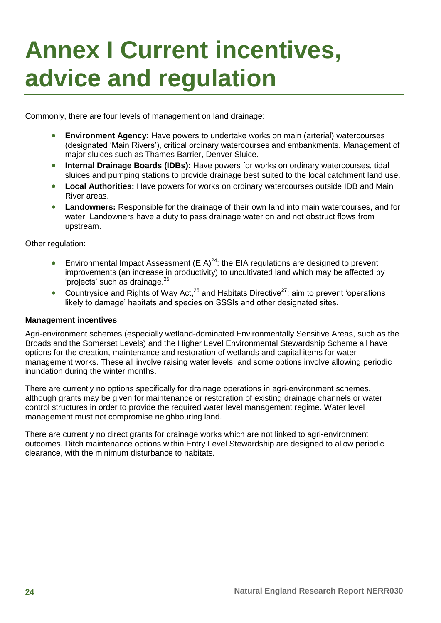## **Annex I Current incentives, advice and regulation**

Commonly, there are four levels of management on land drainage:

- **Environment Agency:** Have powers to undertake works on main (arterial) watercourses (designated 'Main Rivers'), critical ordinary watercourses and embankments. Management of major sluices such as Thames Barrier, Denver Sluice.
- **Internal Drainage Boards (IDBs):** Have powers for works on ordinary watercourses, tidal sluices and pumping stations to provide drainage best suited to the local catchment land use.
- **Local Authorities:** Have powers for works on ordinary watercourses outside IDB and Main River areas.
- **Landowners:** Responsible for the drainage of their own land into main watercourses, and for water. Landowners have a duty to pass drainage water on and not obstruct flows from upstream.

Other regulation:

- **Environmental Impact Assessment (EIA)**<sup>24</sup>: the EIA regulations are designed to prevent improvements (an increase in productivity) to uncultivated land which may be affected by 'projects' such as drainage.<sup>25</sup>
- Countryside and Rights of Way Act,<sup>26</sup> and Habitats Directive**<sup>27</sup>**: aim to prevent 'operations likely to damage' habitats and species on SSSIs and other designated sites.

#### **Management incentives**

Agri-environment schemes (especially wetland-dominated Environmentally Sensitive Areas, such as the Broads and the Somerset Levels) and the Higher Level Environmental Stewardship Scheme all have options for the creation, maintenance and restoration of wetlands and capital items for water management works. These all involve raising water levels, and some options involve allowing periodic inundation during the winter months.

There are currently no options specifically for drainage operations in agri-environment schemes, although grants may be given for maintenance or restoration of existing drainage channels or water control structures in order to provide the required water level management regime. Water level management must not compromise neighbouring land.

There are currently no direct grants for drainage works which are not linked to agri-environment outcomes. Ditch maintenance options within Entry Level Stewardship are designed to allow periodic clearance, with the minimum disturbance to habitats.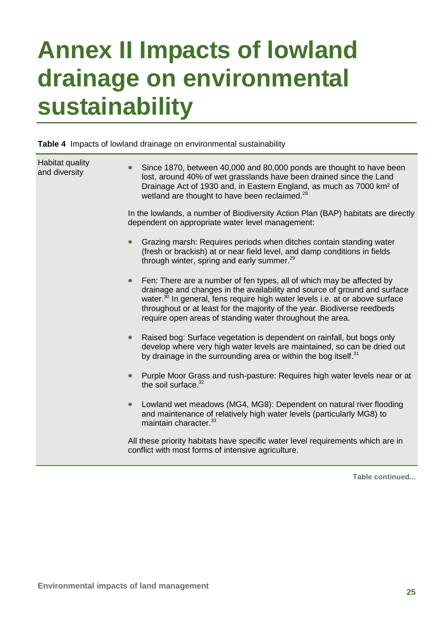## **Annex II Impacts of lowland drainage on environmental sustainability**

**Table 4** Impacts of lowland drainage on environmental sustainability

| Habitat quality<br>and diversity | Since 1870, between 40,000 and 80,000 ponds are thought to have been<br>lost, around 40% of wet grasslands have been drained since the Land<br>Drainage Act of 1930 and, in Eastern England, as much as 7000 km <sup>2</sup> of<br>wetland are thought to have been reclaimed. <sup>28</sup><br>In the lowlands, a number of Biodiversity Action Plan (BAP) habitats are directly<br>dependent on appropriate water level management: |
|----------------------------------|---------------------------------------------------------------------------------------------------------------------------------------------------------------------------------------------------------------------------------------------------------------------------------------------------------------------------------------------------------------------------------------------------------------------------------------|
|                                  | Grazing marsh: Requires periods when ditches contain standing water<br>$\bullet$<br>(fresh or brackish) at or near field level, and damp conditions in fields<br>through winter, spring and early summer. <sup>29</sup>                                                                                                                                                                                                               |
|                                  | Fen: There are a number of fen types, all of which may be affected by<br>$\bullet$<br>drainage and changes in the availability and source of ground and surface<br>water. <sup>30</sup> In general, fens require high water levels i.e. at or above surface<br>throughout or at least for the majority of the year. Biodiverse reedbeds<br>require open areas of standing water throughout the area.                                  |
|                                  | Raised bog: Surface vegetation is dependent on rainfall, but bogs only<br>$\bullet$<br>develop where very high water levels are maintained, so can be dried out<br>by drainage in the surrounding area or within the bog itself. <sup>31</sup>                                                                                                                                                                                        |
|                                  | Purple Moor Grass and rush-pasture: Requires high water levels near or at<br>$\bullet$<br>the soil surface. <sup>32</sup>                                                                                                                                                                                                                                                                                                             |
|                                  | Lowland wet meadows (MG4, MG8): Dependent on natural river flooding<br>$\bullet$<br>and maintenance of relatively high water levels (particularly MG8) to<br>maintain character. <sup>33</sup>                                                                                                                                                                                                                                        |
|                                  | All these priority habitats have specific water level requirements which are in<br>conflict with most forms of intensive agriculture.                                                                                                                                                                                                                                                                                                 |

**Table continued...**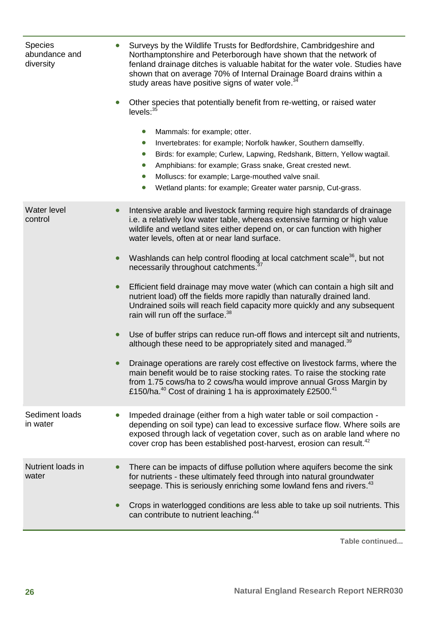| <b>Species</b><br>abundance and<br>diversity | Surveys by the Wildlife Trusts for Bedfordshire, Cambridgeshire and<br>Northamptonshire and Peterborough have shown that the network of<br>fenland drainage ditches is valuable habitat for the water vole. Studies have<br>shown that on average 70% of Internal Drainage Board drains within a<br>study areas have positive signs of water vole. <sup>34</sup><br>Other species that potentially benefit from re-wetting, or raised water<br>$\bullet$<br>levels: <sup>35</sup><br>Mammals: for example; otter.<br>$\bullet$<br>Invertebrates: for example; Norfolk hawker, Southern damselfly.<br>$\bullet$<br>Birds: for example; Curlew, Lapwing, Redshank, Bittern, Yellow wagtail.<br>$\bullet$<br>Amphibians: for example; Grass snake, Great crested newt.<br>Molluscs: for example; Large-mouthed valve snail.<br>$\bullet$<br>Wetland plants: for example; Greater water parsnip, Cut-grass.                                                                                                                                                                                                                                                                                                                                              |
|----------------------------------------------|------------------------------------------------------------------------------------------------------------------------------------------------------------------------------------------------------------------------------------------------------------------------------------------------------------------------------------------------------------------------------------------------------------------------------------------------------------------------------------------------------------------------------------------------------------------------------------------------------------------------------------------------------------------------------------------------------------------------------------------------------------------------------------------------------------------------------------------------------------------------------------------------------------------------------------------------------------------------------------------------------------------------------------------------------------------------------------------------------------------------------------------------------------------------------------------------------------------------------------------------------|
| Water level<br>control                       | Intensive arable and livestock farming require high standards of drainage<br>i.e. a relatively low water table, whereas extensive farming or high value<br>wildlife and wetland sites either depend on, or can function with higher<br>water levels, often at or near land surface.<br>Washlands can help control flooding at local catchment scale <sup>36</sup> , but not<br>$\bullet$<br>necessarily throughout catchments. <sup>37</sup><br>Efficient field drainage may move water (which can contain a high silt and<br>$\bullet$<br>nutrient load) off the fields more rapidly than naturally drained land.<br>Undrained soils will reach field capacity more quickly and any subsequent<br>rain will run off the surface. <sup>38</sup><br>Use of buffer strips can reduce run-off flows and intercept silt and nutrients,<br>$\bullet$<br>although these need to be appropriately sited and managed. <sup>39</sup><br>Drainage operations are rarely cost effective on livestock farms, where the<br>main benefit would be to raise stocking rates. To raise the stocking rate<br>from 1.75 cows/ha to 2 cows/ha would improve annual Gross Margin by<br>£150/ha. <sup>40</sup> Cost of draining 1 ha is approximately £2500. <sup>41</sup> |
| Sediment loads<br>in water                   | Impeded drainage (either from a high water table or soil compaction -<br>depending on soil type) can lead to excessive surface flow. Where soils are<br>exposed through lack of vegetation cover, such as on arable land where no<br>cover crop has been established post-harvest, erosion can result. <sup>42</sup>                                                                                                                                                                                                                                                                                                                                                                                                                                                                                                                                                                                                                                                                                                                                                                                                                                                                                                                                 |
| Nutrient loads in<br>water                   | There can be impacts of diffuse pollution where aquifers become the sink<br>for nutrients - these ultimately feed through into natural groundwater<br>seepage. This is seriously enriching some lowland fens and rivers. <sup>43</sup><br>Crops in waterlogged conditions are less able to take up soil nutrients. This<br>can contribute to nutrient leaching. <sup>44</sup>                                                                                                                                                                                                                                                                                                                                                                                                                                                                                                                                                                                                                                                                                                                                                                                                                                                                        |

**Table continued...**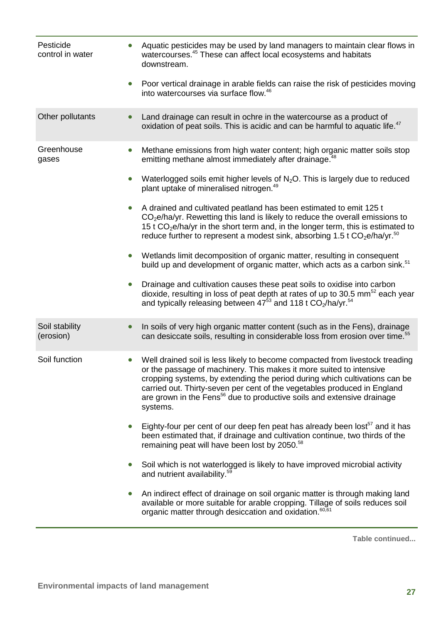| Pesticide<br>control in water | Aquatic pesticides may be used by land managers to maintain clear flows in<br>watercourses. <sup>45</sup> These can affect local ecosystems and habitats<br>downstream.                                                                                                                                                                                                                                         |
|-------------------------------|-----------------------------------------------------------------------------------------------------------------------------------------------------------------------------------------------------------------------------------------------------------------------------------------------------------------------------------------------------------------------------------------------------------------|
|                               | Poor vertical drainage in arable fields can raise the risk of pesticides moving<br>into watercourses via surface flow. <sup>46</sup>                                                                                                                                                                                                                                                                            |
| Other pollutants              | Land drainage can result in ochre in the watercourse as a product of<br>oxidation of peat soils. This is acidic and can be harmful to aquatic life. <sup>47</sup>                                                                                                                                                                                                                                               |
| Greenhouse<br>gases           | Methane emissions from high water content; high organic matter soils stop<br>emitting methane almost immediately after drainage. <sup>48</sup>                                                                                                                                                                                                                                                                  |
|                               | Waterlogged soils emit higher levels of $N_2O$ . This is largely due to reduced<br>plant uptake of mineralised nitrogen. <sup>49</sup>                                                                                                                                                                                                                                                                          |
|                               | A drained and cultivated peatland has been estimated to emit 125 t<br>$CO2e/ha/yr$ . Rewetting this land is likely to reduce the overall emissions to<br>15 t $CO2e/ha/yr$ in the short term and, in the longer term, this is estimated to<br>reduce further to represent a modest sink, absorbing 1.5 t $CO2e/ha/yr.50$                                                                                        |
|                               | Wetlands limit decomposition of organic matter, resulting in consequent<br>build up and development of organic matter, which acts as a carbon sink. <sup>51</sup>                                                                                                                                                                                                                                               |
|                               | Drainage and cultivation causes these peat soils to oxidise into carbon<br>dioxide, resulting in loss of peat depth at rates of up to 30.5 $mm52$ each year<br>and typically releasing between $47^{53}$ and 118 t CO <sub>2</sub> /ha/yr. <sup>54</sup>                                                                                                                                                        |
| Soil stability<br>(erosion)   | In soils of very high organic matter content (such as in the Fens), drainage<br>can desiccate soils, resulting in considerable loss from erosion over time. <sup>55</sup>                                                                                                                                                                                                                                       |
| Soil function                 | Well drained soil is less likely to become compacted from livestock treading<br>or the passage of machinery. This makes it more suited to intensive<br>cropping systems, by extending the period during which cultivations can be<br>carried out. Thirty-seven per cent of the vegetables produced in England<br>are grown in the Fens <sup>56</sup> due to productive soils and extensive drainage<br>systems. |
|                               | Eighty-four per cent of our deep fen peat has already been lost <sup>57</sup> and it has<br>been estimated that, if drainage and cultivation continue, two thirds of the<br>remaining peat will have been lost by 2050. <sup>58</sup>                                                                                                                                                                           |
|                               | Soil which is not waterlogged is likely to have improved microbial activity<br>and nutrient availability. <sup>59</sup>                                                                                                                                                                                                                                                                                         |
|                               | An indirect effect of drainage on soil organic matter is through making land<br>available or more suitable for arable cropping. Tillage of soils reduces soil<br>organic matter through desiccation and oxidation. <sup>60,61</sup>                                                                                                                                                                             |

**Table continued...**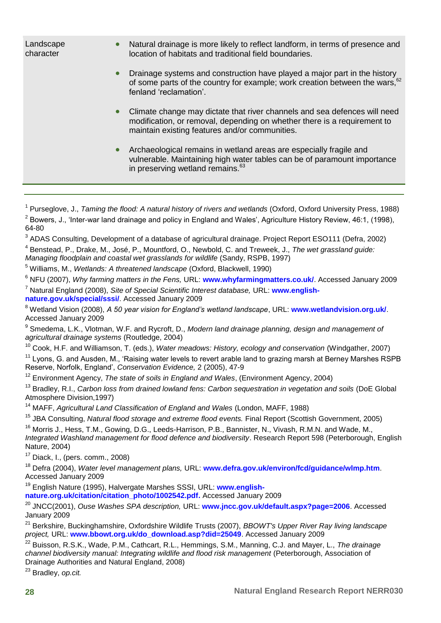| Landscape<br>character | $\bullet$ | Natural drainage is more likely to reflect landform, in terms of presence and<br>location of habitats and traditional field boundaries.                                                                 |
|------------------------|-----------|---------------------------------------------------------------------------------------------------------------------------------------------------------------------------------------------------------|
|                        | $\bullet$ | Drainage systems and construction have played a major part in the history<br>of some parts of the country for example; work creation between the wars, <sup>62</sup><br>fenland 'reclamation'.          |
|                        | $\bullet$ | Climate change may dictate that river channels and sea defences will need<br>modification, or removal, depending on whether there is a requirement to<br>maintain existing features and/or communities. |
|                        | $\bullet$ | Archaeological remains in wetland areas are especially fragile and<br>vulnerable. Maintaining high water tables can be of paramount importance<br>in preserving wetland remains. <sup>63</sup>          |

 $^3$  ADAS Consulting, Development of a database of agricultural drainage. Project Report ESO111 (Defra, 2002)

4 Benstead, P., Drake, M., José, P., Mountford, O., Newbold, C. and Treweek, J., *The wet grassland guide: Managing floodplain and coastal wet grasslands for wildlife* (Sandy, RSPB, 1997)

<sup>5</sup> Williams, M., *Wetlands: A threatened landscape* (Oxford, Blackwell, 1990)

<sup>6</sup> NFU (2007), *Why farming matters in the Fens,* URL: **[www.whyfarmingmatters.co.uk/](http://www.whyfarmingmatters.co.uk/)**. Accessed January 2009 <sup>7</sup> Natural England (2008), *Site of Special Scientific Interest database,* URL: **[www.english](http://www.english-nature.gov.uk/special/sssi/)[nature.gov.uk/special/sssi/](http://www.english-nature.gov.uk/special/sssi/)**. Accessed January 2009

<sup>8</sup> Wetland Vision (2008), *A 50 year vision for England's wetland landscape*, URL: **[www.wetlandvision.org.uk/](http://www.wetlandvision.org.uk/)**. Accessed January 2009

9 Smedema, L.K., Vlotman, W.F. and Rycroft, D., *Modern land drainage planning, design and management of agricultural drainage systems* (Routledge, 2004)

<sup>10</sup> Cook, H.F. and Williamson, T. (eds.), *Water meadows: History, ecology and conservation* (Windgather, 2007)

<sup>11</sup> Lyons, G. and Ausden, M., 'Raising water levels to revert arable land to grazing marsh at Berney Marshes RSPB Reserve, Norfolk, England', *Conservation Evidence,* 2 (2005), 47-9

<sup>12</sup> Environment Agency, *The state of soils in England and Wales*, (Environment Agency, 2004)

<sup>13</sup> Bradley, R.I., *Carbon loss from drained lowland fens: Carbon sequestration in vegetation and soils (DoE Global)* Atmosphere Division,1997)

<sup>14</sup> MAFF, *Agricultural Land Classification of England and Wales* (London, MAFF, 1988)

<sup>15</sup> JBA Consulting, *Natural flood storage and extreme flood events.* Final Report (Scottish Government, 2005)

<sup>16</sup> Morris J., Hess, T.M., Gowing, D.G., Leeds-Harrison, P.B., Bannister, N., Vivash, R.M.N. and Wade, M., *Integrated Washland management for flood defence and biodiversity*. Research Report 598 (Peterborough, English Nature, 2004)

 $17$  Diack, I., (pers. comm., 2008)

<sup>18</sup> Defra (2004), *Water level management plans,* URL: **[www.defra.gov.uk/environ/fcd/guidance/wlmp.htm](http://www.defra.gov.uk/environ/fcd/guidance/wlmp.htm)**. Accessed January 2009

<sup>19</sup> English Nature (1995), Halvergate Marshes SSSI, URL: **[www.english-](http://www.english-nature.org.uk/citation/citation_photo/1002542.pdf)**

**[nature.org.uk/citation/citation\\_photo/1002542.pdf.](http://www.english-nature.org.uk/citation/citation_photo/1002542.pdf)** Accessed January 2009

<sup>20</sup> JNCC(2001), *Ouse Washes SPA description,* URL: **[www.jncc.gov.uk/default.aspx?page=2006](http://www.jncc.gov.uk/default.aspx?page=2006)**. Accessed January 2009

<sup>21</sup> Berkshire, Buckinghamshire, Oxfordshire Wildlife Trusts (2007), *BBOWT's Upper River Ray living landscape project,* URL: **[www.bbowt.org.uk/do\\_download.asp?did=25049](http://www.bbowt.org.uk/do_download.asp?did=25049)**. Accessed January 2009

<sup>22</sup> Buisson, R.S.K., Wade, P.M., Cathcart, R.L., Hemmings, S.M., Manning, C.J. and Mayer, L., *The drainage channel biodiversity manual: Integrating wildlife and flood risk management* (Peterborough, Association of Drainage Authorities and Natural England, 2008)

<sup>23</sup> Bradley, *op.cit.*

<sup>1</sup> Purseglove, J., *Taming the flood: A natural history of rivers and wetlands* (Oxford, Oxford University Press, 1988)  $^2$  Bowers, J., 'Inter-war land drainage and policy in England and Wales', Agriculture History Review, 46:1, (1998), 64-80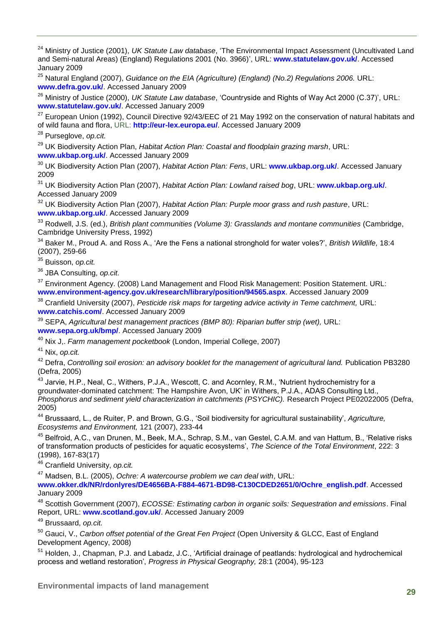<sup>24</sup> Ministry of Justice (2001), *UK Statute Law database*, ['The Environmental Impact Assessment \(Uncultivated Land](http://www.statutelaw.gov.uk/content.aspx?LegType=All+Legislation&title=environmental+impact&searchEnacted=0&extentMatchOnly=0&confersPower=0&blanketAmendment=0&sortAlpha=0&TYPE=QS&PageNumber=1&NavFrom=0&parentActiveTextDocId=2567431&ActiveTextDocId=2567431&filesize=110653)  [and Semi-natural Areas\) \(England\) Regulations 2001 \(No. 3966\)'](http://www.statutelaw.gov.uk/content.aspx?LegType=All+Legislation&title=environmental+impact&searchEnacted=0&extentMatchOnly=0&confersPower=0&blanketAmendment=0&sortAlpha=0&TYPE=QS&PageNumber=1&NavFrom=0&parentActiveTextDocId=2567431&ActiveTextDocId=2567431&filesize=110653), URL: **[www.statutelaw.gov.uk/](http://www.statutelaw.gov.uk/)**. Accessed January 2009

<sup>25</sup> Natural England (2007), *Guidance on the EIA (Agriculture) (England) (No.2) Regulations 2006.* URL: **[www.defra.gov.uk/](http://www.defra.gov.uk/)**. Accessed January 2009

<sup>26</sup> Ministry of Justice (2000), *UK Statute Law database*, 'Countryside and Rights of Way Act 2000 (C.37)', URL: **[www.statutelaw.gov.uk/](http://www.statutelaw.gov.uk/)**. Accessed January 2009

 $27$  European Union (1992), Council Directive 92/43/EEC of 21 May 1992 on the conservation of natural habitats and [of wild fauna and flora,](http://eur-lex.europa.eu/LexUriServ/LexUriServ.do?uri=CELEX:31992L0043:EN:HTML) URL: **<http://eur-lex.europa.eu/>**. Accessed January 2009

<sup>28</sup> Purseglove, *op.cit.*

<sup>29</sup> UK Biodiversity Action Plan, *Habitat Action Plan: Coastal and floodplain grazing marsh*, URL:

**[www.ukbap.org.uk/](http://www.ukbap.org.uk/)**. Accessed January 2009

<sup>30</sup> UK Biodiversity Action Plan (2007), *Habitat Action Plan: Fens*, URL: **[www.ukbap.org.uk/](http://www.ukbap.org.uk/)**. Accessed January 2009

<sup>31</sup> UK Biodiversity Action Plan (2007), *Habitat Action Plan: Lowland raised bog*, URL: **[www.ukbap.org.uk/](http://www.ukbap.org.uk/)**. Accessed January 2009

<sup>32</sup> UK Biodiversity Action Plan (2007), *Habitat Action Plan: Purple moor grass and rush pasture*, URL: **[www.ukbap.org.uk/](http://www.ukbap.org.uk/)**. Accessed January 2009

<sup>33</sup> Rodwell, J.S. (ed.), *British plant communities (Volume 3): Grasslands and montane communities* (Cambridge, Cambridge University Press, 1992)

<sup>34</sup> Baker M., Proud A. and Ross A., 'Are the Fens a national stronghold for water voles?', *British Wildlife,* 18:4 (2007), 259-66

<sup>35</sup> Buisson, *op.cit.*

<sup>36</sup> JBA Consulting, *op.cit.*

<sup>37</sup> Environment Agency. (2008) Land Management and Flood Risk Management: Position Statement. URL: **[www.environment-agency.gov.uk/research/library/position/94565.aspx](http://www.environment-agency.gov.uk/research/library/position/94565.aspx)**. Accessed January 2009

<sup>38</sup> Cranfield University (2007), *Pesticide risk maps for targeting advice activity in Teme catchment,* URL: **[www.catchis.com/](http://www.catchis.com/)**. Accessed January 2009

<sup>39</sup> SEPA, *Agricultural best management practices (BMP 80): Riparian buffer strip (wet),* URL: **[www.sepa.org.uk/bmp/](http://www.sepa.org.uk/bmp/)**. Accessed January 2009

<sup>40</sup> Nix J,. *Farm management pocketbook* (London, Imperial College, 2007)

<sup>41</sup> Nix, *op.cit.*

<sup>42</sup> Defra, *Controlling soil erosion: an advisory booklet for the management of agricultural land.* Publication PB3280 (Defra, 2005)

<sup>43</sup> Jarvie, H.P., Neal, C., Withers, P.J.A., Wescott, C. and Acornley, R.M., 'Nutrient hydrochemistry for a groundwater-dominated catchment: The Hampshire Avon, UK' in Withers, P.J.A., ADAS Consulting Ltd., *Phosphorus and sediment yield characterization in catchments (PSYCHIC).* Research Project PE02022005 (Defra, 2005)

<sup>44</sup> Brussaard, L., de Ruiter, P. and Brown, G.G., 'Soil biodiversity for agricultural sustainability', *Agriculture, Ecosystems and Environment,* 121 (2007), 233-44

<sup>45</sup> Belfroid, A.C., van Drunen, M., Beek, M.A., Schrap, S.M., van Gestel, C.A.M. and van Hattum, B., 'Relative risks of transformation products of pesticides for aquatic ecosystems', *The Science of the Total Environment*, 222: 3 (1998), 167-83(17)

<sup>46</sup> Cranfield University, *op.cit.*

<sup>47</sup> Madsen, B.L. (2005), *Ochre: A watercourse problem we can deal with*, URL:

**[www.okker.dk/NR/rdonlyres/DE4656BA-F884-4671-BD98-C130CDED2651/0/Ochre\\_english.pdf](http://www.okker.dk/NR/rdonlyres/DE4656BA-F884-4671-BD98-C130CDED2651/0/Ochre_english.pdf)**. Accessed January 2009

<sup>48</sup> Scottish Government (2007), *ECOSSE: Estimating carbon in organic soils: Sequestration and emissions*. Final Report, URL: **[www.scotland.gov.uk/](http://www.scotland.gov.uk/)**. Accessed January 2009

<sup>49</sup> Brussaard, *op.cit.*

<sup>50</sup> Gauci, V., *Carbon offset potential of the Great Fen Project* (Open University & GLCC, East of England Development Agency, 2008)

<sup>51</sup> Holden, J., Chapman, P.J. and Labadz, J.C., 'Artificial drainage of peatlands: hydrological and hydrochemical process and wetland restoration', *Progress in Physical Geography,* 28:1 (2004), 95-123

**Environmental impacts of land management**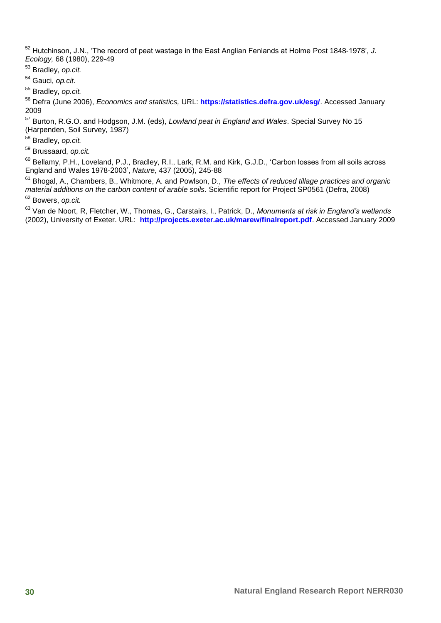Hutchinson, J.N., 'The record of peat wastage in the East Anglian Fenlands at Holme Post 1848-1978', *J. Ecology,* 68 (1980), 229-49

Bradley, *op.cit.*

Gauci, *op.cit.*

Bradley, *op.cit.*

 Defra (June 2006), *Economics and statistics,* URL: **<https://statistics.defra.gov.uk/esg/>**. Accessed January 

 Burton, R.G.O. and Hodgson, J.M. (eds), *Lowland peat in England and Wales*. Special Survey No 15 (Harpenden, Soil Survey, 1987)

Bradley, *op.cit.*

Brussaard, *op.cit.*

<sup>60</sup> Bellamy, P.H., Loveland, P.J., Bradley, R.I., Lark, R.M. and Kirk, G.J.D., 'Carbon losses from all soils across England and Wales 1978-2003', *Nature,* 437 (2005), 245-88

 Bhogal, A., Chambers, B., Whitmore, A. and Powlson, D., *The effects of reduced tillage practices and organic material additions on the carbon content of arable soils*. Scientific report for Project SP0561 (Defra, 2008) Bowers, *op.cit.*

 Van de Noort, R, Fletcher, W., Thomas, G., Carstairs, I., Patrick, D., *Monuments at risk in England's wetlands* (2002), University of Exeter. URL: **<http://projects.exeter.ac.uk/marew/finalreport.pdf>**. Accessed January 2009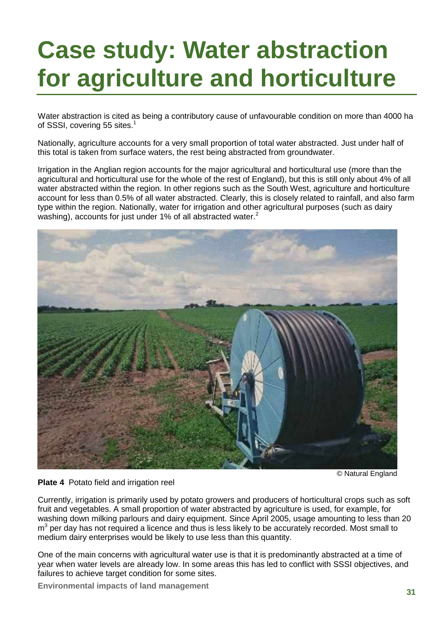# **Case study: Water abstraction for agriculture and horticulture**

Water abstraction is cited as being a contributory cause of unfavourable condition on more than 4000 ha of SSSI, covering 55 sites.<sup>1</sup>

Nationally, agriculture accounts for a very small proportion of total water abstracted. Just under half of this total is taken from surface waters, the rest being abstracted from groundwater.

Irrigation in the Anglian region accounts for the major agricultural and horticultural use (more than the agricultural and horticultural use for the whole of the rest of England), but this is still only about 4% of all water abstracted within the region. In other regions such as the South West, agriculture and horticulture account for less than 0.5% of all water abstracted. Clearly, this is closely related to rainfall, and also farm type within the region. Nationally, water for irrigation and other agricultural purposes (such as dairy washing), accounts for just under 1% of all abstracted water.<sup>2</sup>



© Natural England

#### **Plate 4** Potato field and irrigation reel

Currently, irrigation is primarily used by potato growers and producers of horticultural crops such as soft fruit and vegetables. A small proportion of water abstracted by agriculture is used, for example, for washing down milking parlours and dairy equipment. Since April 2005, usage amounting to less than 20 m<sup>3</sup> per day has not required a licence and thus is less likely to be accurately recorded. Most small to medium dairy enterprises would be likely to use less than this quantity.

One of the main concerns with agricultural water use is that it is predominantly abstracted at a time of year when water levels are already low. In some areas this has led to conflict with SSSI objectives, and failures to achieve target condition for some sites.

**Environmental impacts of land management**